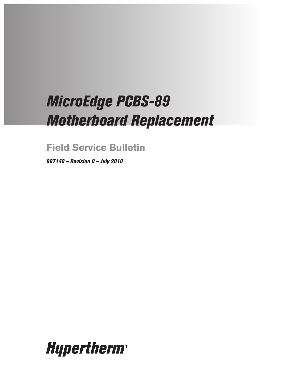# *MicroEdge PCBS-89 Motherboard Replacement*

**Field Service Bulletin**

*807140 – Revision 0 – July 2010*

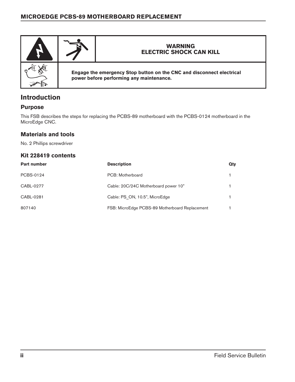

# **Introduction**

#### **Purpose**

This FSB describes the steps for replacing the PCBS-89 motherboard with the PCBS-0124 motherboard in the MicroEdge CNC.

### **Materials and tools**

No. 2 Phillips screwdriver

#### **Kit 228419 contents**

| <b>Part number</b> | <b>Description</b>                             | Qty |
|--------------------|------------------------------------------------|-----|
| PCBS-0124          | PCB: Motherboard                               |     |
| CABL-0277          | Cable: 20C/24C Motherboard power 10"           |     |
| CABL-0281          | Cable: PS ON, 10.5", MicroEdge                 |     |
| 807140             | FSB: MicroEdge PCBS-89 Motherboard Replacement |     |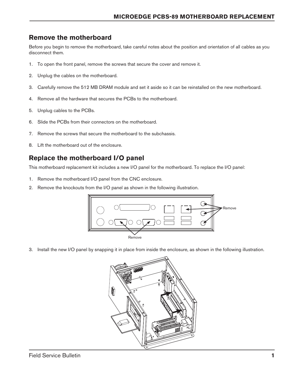# **Remove the motherboard**

Before you begin to remove the motherboard, take careful notes about the position and orientation of all cables as you disconnect them.

- 1. To open the front panel, remove the screws that secure the cover and remove it.
- 2. Unplug the cables on the motherboard.
- 3. Carefully remove the 512 MB DRAM module and set it aside so it can be reinstalled on the new motherboard.
- 4. Remove all the hardware that secures the PCBs to the motherboard.
- 5. Unplug cables to the PCBs.
- 6. Slide the PCBs from their connectors on the motherboard.
- 7. Remove the screws that secure the motherboard to the subchassis.
- 8. Lift the motherboard out of the enclosure.

## **Replace the motherboard I/O panel**

This motherboard replacement kit includes a new I/O panel for the motherboard. To replace the I/O panel:

- 1. Remove the motherboard I/O panel from the CNC enclosure.
- 2. Remove the knockouts from the I/O panel as shown in the following illustration.



3. Install the new I/O panel by snapping it in place from inside the enclosure, as shown in the following illustration.

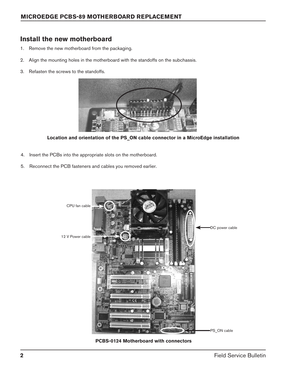# **Install the new motherboard**

- 1. Remove the new motherboard from the packaging.
- 2. Align the mounting holes in the motherboard with the standoffs on the subchassis.
- 3. Refasten the screws to the standoffs.



**Location and orientation of the PS\_ON cable connector in a MicroEdge installation**

- 4. Insert the PCBs into the appropriate slots on the motherboard.
- 5. Reconnect the PCB fasteners and cables you removed earlier.



**PCBS-0124 Motherboard with connectors**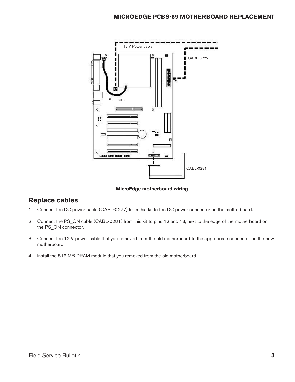

#### **MicroEdge motherboard wiring**

## **Replace cables**

- 1. Connect the DC power cable (CABL-0277) from this kit to the DC power connector on the motherboard.
- 2. Connect the PS\_ON cable (CABL-0281) from this kit to pins 12 and 13, next to the edge of the motherboard on the PS\_ON connector.
- 3. Connect the 12 V power cable that you removed from the old motherboard to the appropriate connector on the new motherboard.
- 4. Install the 512 MB DRAM module that you removed from the old motherboard.